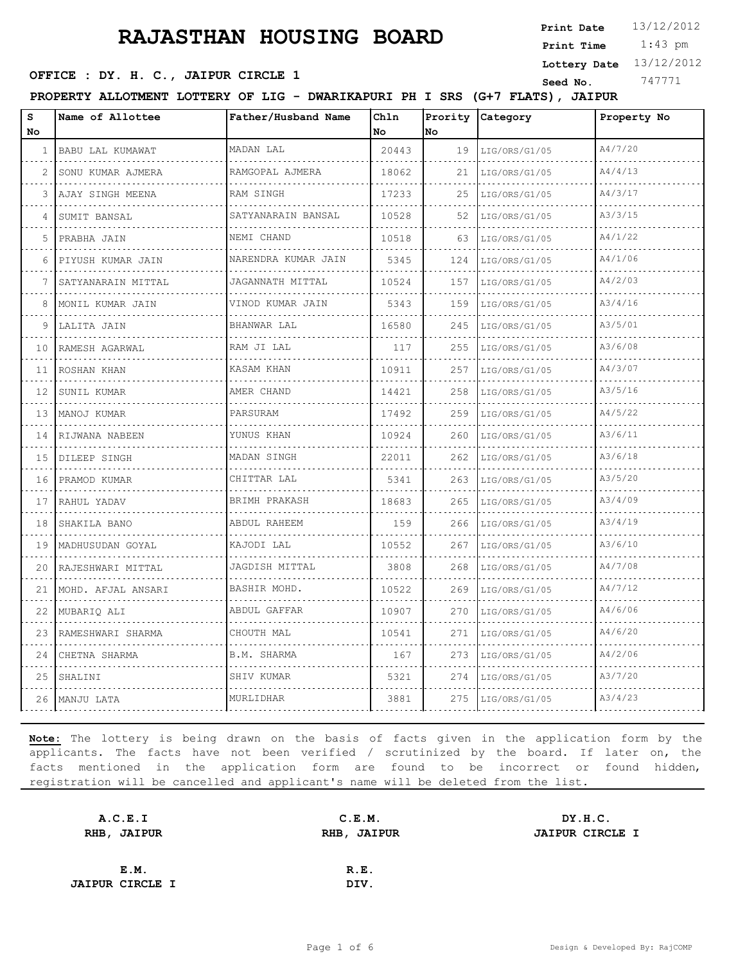1:43 pm **Print Date**  $13/12/2012$ **Print Time**

**Lottery Date** 13/12/2012

#### **SEED OFFICE : DY. H. C., JAIPUR CIRCLE 1 Seed No.** 747771

**PROPERTY ALLOTMENT LOTTERY OF LIG - DWARIKAPURI PH I SRS (G+7 FLATS), JAIPUR**

| s<br><b>No</b> | Name of Allottee   | Father/Husband Name | Chln<br>No. | No. | Prority Category   | Property No |
|----------------|--------------------|---------------------|-------------|-----|--------------------|-------------|
| -1             | BABU LAL KUMAWAT   | MADAN LAL           | 20443       | 19  | LIG/ORS/G1/05<br>. | A4/7/20     |
| $\mathcal{L}$  | SONU KUMAR AJMERA  | RAMGOPAL AJMERA     | 18062       | 21  | LIG/ORS/G1/05      | A4/4/13     |
| 3              | AJAY SINGH MEENA   | RAM SINGH           | 17233       | 25  | LIG/ORS/G1/05      | A4/3/17     |
| 4              | SUMIT BANSAL       | SATYANARAIN BANSAL  | 10528       | 52  | LIG/ORS/G1/05      | A3/3/15     |
| 5              | PRABHA JAIN        | NEMI CHAND          | 10518       | 63  | LIG/ORS/G1/05      | A4/1/22     |
| 6              | PIYUSH KUMAR JAIN  | NARENDRA KUMAR JAIN | 5345        | 124 | LIG/ORS/G1/05      | A4/1/06     |
| 7              | SATYANARAIN MITTAL | JAGANNATH MITTAL    | 10524       | 157 | LIG/ORS/G1/05      | A4/2/03     |
| 8              | MONIL KUMAR JAIN   | VINOD KUMAR JAIN    | 5343        | 159 | LIG/ORS/G1/05      | A3/4/16     |
| 9              | LALITA JAIN        | BHANWAR LAL         | 16580       | 245 | LIG/ORS/G1/05      | A3/5/01     |
| 10             | RAMESH AGARWAL     | RAM JI LAL          | 117         | 255 | LIG/ORS/G1/05      | A3/6/08     |
| 11             | ROSHAN KHAN        | KASAM KHAN          | 10911       | 257 | LIG/ORS/G1/05      | A4/3/07     |
| 12             | SUNIL KUMAR        | AMER CHAND          | 14421       | 258 | LIG/ORS/G1/05      | A3/5/16     |
| 13             | MANOJ KUMAR        | PARSURAM            | 17492       | 259 | LIG/ORS/G1/05      | A4/5/22     |
| 14             | RIJWANA NABEEN     | YUNUS KHAN          | 10924       | 260 | LIG/ORS/G1/05      | A3/6/11     |
| 15             | DILEEP SINGH       | MADAN SINGH         | 22011       | 262 | LIG/ORS/G1/05      | A3/6/18     |
| 16             | PRAMOD KUMAR       | CHITTAR LAL         | 5341        | 263 | LIG/ORS/G1/05      | A3/5/20     |
| 17             | RAHUL YADAV        | BRIMH PRAKASH       | 18683       | 265 | LIG/ORS/G1/05      | A3/4/09     |
| 18             | SHAKILA BANO       | ABDUL RAHEEM        | 159         | 266 | LIG/ORS/G1/05      | A3/4/19     |
| 19             | MADHUSUDAN GOYAL   | KAJODI LAL          | 10552       | 267 | LIG/ORS/G1/05      | A3/6/10     |
| 20             | RAJESHWARI MITTAL  | JAGDISH MITTAL      | 3808        | 268 | LIG/ORS/G1/05      | A4/7/08     |
| 21             | MOHD. AFJAL ANSARI | BASHIR MOHD.        | 10522       | 269 | LIG/ORS/G1/05      | A4/7/12     |
| 22             | MUBARIQ ALI        | ABDUL GAFFAR        | 10907       | 270 | LIG/ORS/G1/05      | A4/6/06     |
| 23             | RAMESHWARI SHARMA  | CHOUTH MAL          | 10541       | 271 | LIG/ORS/G1/05      | A4/6/20     |
| 24             | CHETNA SHARMA      | B.M. SHARMA         | 167         | 273 | LIG/ORS/G1/05      | A4/2/06     |
| 25             | SHALINI            | SHIV KUMAR          | 5321        | 274 | LIG/ORS/G1/05      | A3/7/20     |
|                | 26 MANJU LATA      | MURLIDHAR           | 3881        | 275 | LIG/ORS/G1/05      | A3/4/23     |

| A.C.E.I                | C.E.M.      | DY.H.C.                |
|------------------------|-------------|------------------------|
| RHB, JAIPUR            | RHB, JAIPUR | <b>JAIPUR CIRCLE I</b> |
|                        |             |                        |
| E.M.                   | R.E.        |                        |
| <b>JAIPUR CIRCLE I</b> | DIV.        |                        |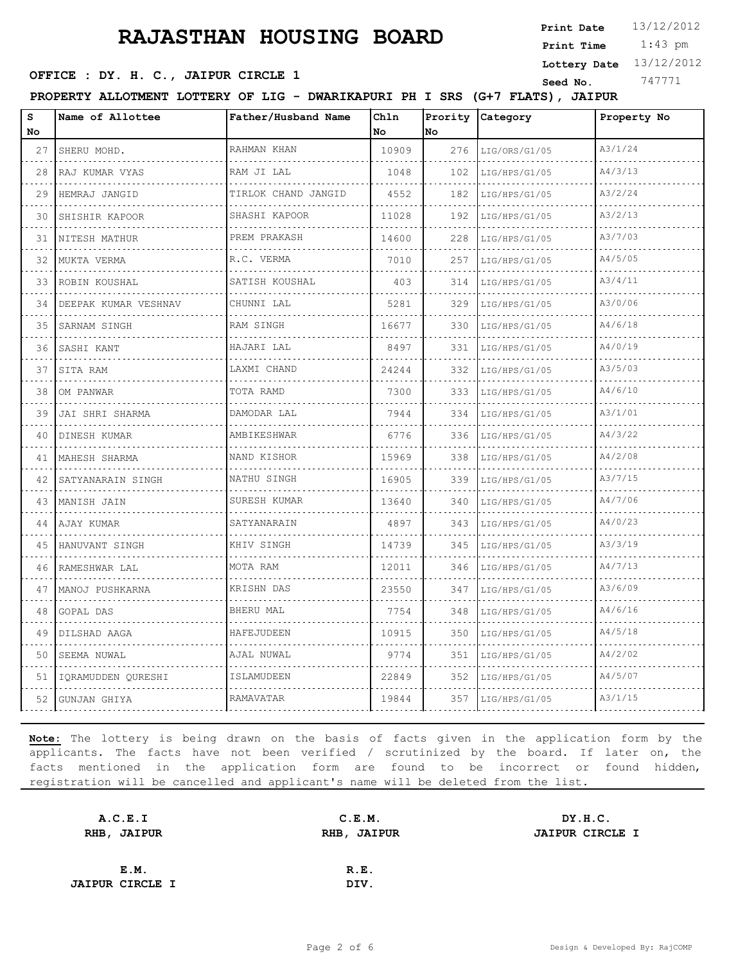1:43 pm **Print Date**  $13/12/2012$ **Print Time**

#### **Lottery Date** 13/12/2012

#### **SEED OFFICE : DY. H. C., JAIPUR CIRCLE 1 Seed No.** 747771

**PROPERTY ALLOTMENT LOTTERY OF LIG - DWARIKAPURI PH I SRS (G+7 FLATS), JAIPUR**

| s<br>No | Name of Allottee        | Father/Husband Name    | Ch1n<br>No | Prority<br>lno. | Category      | Property No |
|---------|-------------------------|------------------------|------------|-----------------|---------------|-------------|
| 27      | SHERU MOHD.             | RAHMAN KHAN            | 10909      | 276             | LIG/ORS/G1/05 | A3/1/24     |
| 28      | RAJ KUMAR VYAS          | RAM JI LAL             | 1048       | 102             | LIG/HPS/G1/05 | A4/3/13     |
| 29      | HEMRAJ JANGID           | TIRLOK CHAND JANGID    | 4552       | 182             | LIG/HPS/G1/05 | A3/2/24     |
| 30      | SHISHIR KAPOOR          | SHASHI KAPOOR          | 11028      | 192             | LIG/HPS/G1/05 | A3/2/13     |
| 31      | NITESH MATHUR<br>.      | .<br>PREM PRAKASH<br>. | 14600      | 228             | LIG/HPS/G1/05 | A3/7/03     |
| 32      | MUKTA VERMA             | R.C. VERMA             | 7010       | 257             | LIG/HPS/G1/05 | A4/5/05     |
| 33      | ROBIN KOUSHAL<br>.      | SATISH KOUSHAL<br>.    | 403        | 314             | LIG/HPS/G1/05 | A3/4/11     |
| 34      | DEEPAK KUMAR VESHNAV    | CHUNNI LAL             | 5281       | 329             | LIG/HPS/G1/05 | A3/0/06     |
| 35      | SARNAM SINGH            | RAM SINGH              | 16677      | 330             | LIG/HPS/G1/05 | A4/6/18     |
| 36      | SASHI KANT<br>.         | HAJARI LAL             | 8497       | 331             | LIG/HPS/G1/05 | A4/0/19     |
| 37      | SITA RAM                | LAXMI CHAND            | 24244      | 332             | LIG/HPS/G1/05 | A3/5/03     |
| 38      | OM PANWAR               | TOTA RAMD              | 7300       | 333             | LIG/HPS/G1/05 | A4/6/10     |
| 39      | JAI SHRI SHARMA         | DAMODAR LAL            | 7944       | 334             | LIG/HPS/G1/05 | A3/1/01     |
| 40      | DINESH KUMAR            | AMBIKESHWAR            | 6776       | 336             | LIG/HPS/G1/05 | A4/3/22     |
| 41      | MAHESH SHARMA           | NAND KISHOR            | 15969      | 338             | LIG/HPS/G1/05 | A4/2/08     |
| 42      | SATYANARAIN SINGH       | NATHU SINGH            | 16905      | 339             | LIG/HPS/G1/05 | A3/7/15     |
| 43      | MANISH JAIN             | SURESH KUMAR           | 13640      | 340             | LIG/HPS/G1/05 | A4/7/06     |
| 44      | AJAY KUMAR              | SATYANARAIN            | 4897       | 343             | LIG/HPS/G1/05 | A4/0/23     |
| 45      | HANUVANT SINGH          | KHIV SINGH             | 14739      | 345             | LIG/HPS/G1/05 | A3/3/19     |
| 46      | RAMESHWAR LAL           | MOTA RAM               | 12011      | 346             | LIG/HPS/G1/05 | A4/7/13     |
| 47      | MANOJ PUSHKARNA         | KRISHN DAS             | 23550      | 347             | LIG/HPS/G1/05 | A3/6/09     |
| 48      | GOPAL DAS               | <b>BHERU MAL</b>       | 7754       | 348             | LIG/HPS/G1/05 | A4/6/16     |
| 49      | DILSHAD AAGA            | HAFEJUDEEN             | 10915      | 350             | LIG/HPS/G1/05 | A4/5/18     |
| 50      | SEEMA NUWAL             | AJAL NUWAL             | 9774       | 351             | LIG/HPS/G1/05 | A4/2/02     |
|         | 51   IQRAMUDDEN QURESHI | ISLAMUDEEN             | 22849      | 352             | LIG/HPS/G1/05 | A4/5/07     |
|         | 52 GUNJAN GHIYA         | RAMAVATAR              | 19844      | 357             | LIG/HPS/G1/05 | A3/1/15     |

| A.C.E.I                | C.E.M.      | DY.H.C.                |
|------------------------|-------------|------------------------|
| RHB, JAIPUR            | RHB, JAIPUR | <b>JAIPUR CIRCLE I</b> |
|                        |             |                        |
| E.M.                   | R.E.        |                        |
| <b>JAIPUR CIRCLE I</b> | DIV.        |                        |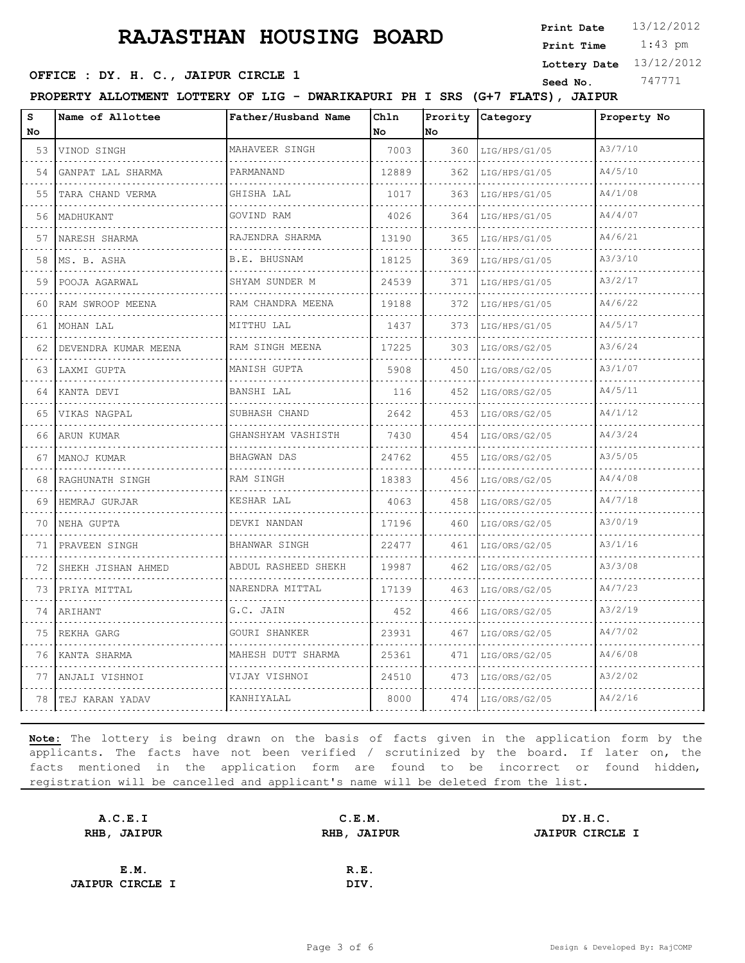1:43 pm **Print Date**  $13/12/2012$ **Print Time**

# **SEED OFFICE : DY. H. C., JAIPUR CIRCLE 1 Seed No.** 747771

**Lottery Date** 13/12/2012

**PROPERTY ALLOTMENT LOTTERY OF LIG - DWARIKAPURI PH I SRS (G+7 FLATS), JAIPUR**

| s<br>No | Name of Allottee       | Father/Husband Name  | Ch1n<br>No | Prority<br>No | Category      | Property No |
|---------|------------------------|----------------------|------------|---------------|---------------|-------------|
| 53      | VINOD SINGH            | MAHAVEER SINGH       | 7003       | 360           | LIG/HPS/G1/05 | A3/7/10     |
| 54      | .<br>GANPAT LAL SHARMA | PARMANAND            | 12889      | 362           | LIG/HPS/G1/05 | A4/5/10     |
| 55      | TARA CHAND VERMA       | GHISHA LAL           | 1017       | 363           | LIG/HPS/G1/05 | A4/1/08     |
| 56      | MADHUKANT              | GOVIND RAM           | 4026       | 364           | LIG/HPS/G1/05 | A4/4/07     |
| 57      | .<br>NARESH SHARMA     | RAJENDRA SHARMA      | 13190      | 365           | LIG/HPS/G1/05 | A4/6/21     |
| 58      | MS. B. ASHA            | B.E. BHUSNAM         | 18125      | 369           | LIG/HPS/G1/05 | A3/3/10     |
| 59      | POOJA AGARWAL          | SHYAM SUNDER M       | 24539      | 371           | LIG/HPS/G1/05 | A3/2/17     |
| 60      | RAM SWROOP MEENA       | RAM CHANDRA MEENA    | 19188      | 372           | LIG/HPS/G1/05 | A4/6/22     |
| 61      | MOHAN LAL              | MITTHU LAL           | 1437       | 373           | LIG/HPS/G1/05 | A4/5/17     |
| 62.     | DEVENDRA KUMAR MEENA   | RAM SINGH MEENA<br>. | 17225      | 303           | LIG/ORS/G2/05 | A3/6/24     |
| 63      | LAXMI GUPTA            | MANISH GUPTA         | 5908       | 450           | LIG/ORS/G2/05 | A3/1/07     |
| 64      | KANTA DEVI             | BANSHI LAL           | 116        | 452           | LIG/ORS/G2/05 | A4/5/11     |
| 65      | VIKAS NAGPAL           | SUBHASH CHAND<br>.   | 2642       | 453           | LIG/ORS/G2/05 | A4/1/12     |
| 66      | ARUN KUMAR             | GHANSHYAM VASHISTH   | 7430       | 454           | LIG/ORS/G2/05 | A4/3/24     |
| 67      | MANOJ KUMAR            | <b>BHAGWAN DAS</b>   | 24762      | 455           | LIG/ORS/G2/05 | A3/5/05     |
| 68      | RAGHUNATH SINGH        | RAM SINGH            | 18383      | 456           | LIG/ORS/G2/05 | A4/4/08     |
| 69      | HEMRAJ GURJAR          | KESHAR LAL           | 4063       | 458           | LIG/ORS/G2/05 | A4/7/18     |
| 70      | NEHA GUPTA             | DEVKI NANDAN         | 17196      | 460           | LIG/ORS/G2/05 | A3/0/19     |
| 71      | PRAVEEN SINGH          | <b>BHANWAR SINGH</b> | 22477      | 461           | LIG/ORS/G2/05 | A3/1/16     |
| 72      | SHEKH JISHAN AHMED     | ABDUL RASHEED SHEKH  | 19987      | 462           | LIG/ORS/G2/05 | A3/3/08     |
| 73      | PRIYA MITTAL           | NARENDRA MITTAL      | 17139      | 463           | LIG/ORS/G2/05 | A4/7/23     |
| 74      | ARIHANT                | G.C. JAIN            | 452        | 466           | LIG/ORS/G2/05 | A3/2/19     |
| 75      | REKHA GARG             | GOURI SHANKER        | 23931      | 467           | LIG/ORS/G2/05 | A4/7/02     |
| 76      | KANTA SHARMA           | MAHESH DUTT SHARMA   | 25361      | 471           | LIG/ORS/G2/05 | A4/6/08     |
| 77      | ANJALI VISHNOI         | VIJAY VISHNOI        | 24510      | 473           | LIG/ORS/G2/05 | A3/2/02     |
|         | 78 FEJ KARAN YADAV     | KANHIYALAL           | 8000       | 474           | LIG/ORS/G2/05 | A4/2/16     |

| A.C.E.I                | C.E.M.      | DY.H.C.                |
|------------------------|-------------|------------------------|
| RHB, JAIPUR            | RHB, JAIPUR | <b>JAIPUR CIRCLE I</b> |
|                        |             |                        |
| E.M.                   | R.E.        |                        |
| <b>JAIPUR CIRCLE I</b> | DIV.        |                        |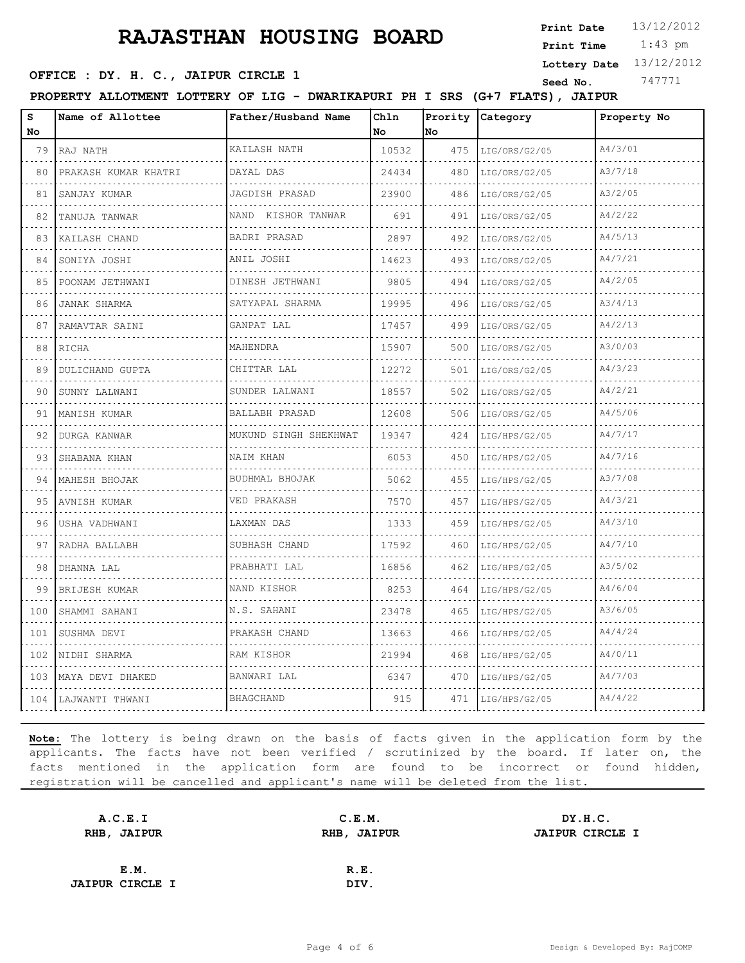1:43 pm **Print Date**  $13/12/2012$ **Print Time**

**Lottery Date** 13/12/2012

#### **SEED OFFICE : DY. H. C., JAIPUR CIRCLE 1 Seed No.** 747771

**PROPERTY ALLOTMENT LOTTERY OF LIG - DWARIKAPURI PH I SRS (G+7 FLATS), JAIPUR**

| S<br>No | Name of Allottee       | Father/Husband Name         | Chln<br>No | Prority<br>lno. | Category           | Property No |
|---------|------------------------|-----------------------------|------------|-----------------|--------------------|-------------|
| 79      | RAJ NATH               | KAILASH NATH                | 10532      | 475             | LIG/ORS/G2/05      | A4/3/01     |
| 80      | PRAKASH KUMAR KHATRI   | DAYAL DAS                   | 24434      | 480             | LIG/ORS/G2/05      | A3/7/18     |
| 81      | SANJAY KUMAR           | JAGDISH PRASAD              | 23900      | 486             | LIG/ORS/G2/05      | A3/2/05     |
| 82      | TANUJA TANWAR          | NAND KISHOR TANWAR          | 691        | 491             | LIG/ORS/G2/05      | A4/2/22     |
| 83      | .<br>KAILASH CHAND     | <b>BADRI PRASAD</b>         | 2897       | 492             | .<br>LIG/ORS/G2/05 | A4/5/13     |
| 84      | SONIYA JOSHI           | ANIL JOSHI                  | 14623      | 493             | LIG/ORS/G2/05      | A4/7/21     |
| 85      | POONAM JETHWANI        | DINESH JETHWANI<br><u>.</u> | 9805       | 494             | LIG/ORS/G2/05      | A4/2/05     |
| 86      | <b>JANAK SHARMA</b>    | SATYAPAL SHARMA             | 19995      | 496             | LIG/ORS/G2/05      | A3/4/13     |
| 87      | RAMAVTAR SAINI         | GANPAT LAL                  | 17457      | 499             | LIG/ORS/G2/05      | A4/2/13     |
| 88      | RICHA                  | MAHENDRA                    | 15907      | 500             | LIG/ORS/G2/05      | A3/0/03     |
| 89      | <b>DULICHAND GUPTA</b> | CHITTAR LAL                 | 12272      | 501             | LIG/ORS/G2/05      | A4/3/23     |
| 90      | SUNNY LALWANI          | SUNDER LALWANI              | 18557      | 502             | LIG/ORS/G2/05      | A4/2/21     |
| 91      | MANISH KUMAR<br>.      | BALLABH PRASAD<br>.         | 12608      | 506             | LIG/ORS/G2/05<br>. | A4/5/06     |
| 92      | <b>DURGA KANWAR</b>    | MUKUND SINGH SHEKHWAT       | 19347      | 424             | LIG/HPS/G2/05      | A4/7/17     |
| 93      | SHABANA KHAN           | NAIM KHAN                   | 6053       | 450             | LIG/HPS/G2/05      | A4/7/16     |
| 94      | MAHESH BHOJAK<br>.     | BUDHMAL BHOJAK<br>.         | 5062       | 455             | LIG/HPS/G2/05      | A3/7/08     |
| 95      | AVNISH KUMAR           | VED PRAKASH                 | 7570       | 457             | LIG/HPS/G2/05      | A4/3/21     |
| 96      | USHA VADHWANI          | LAXMAN DAS                  | 1333       | 459             | LIG/HPS/G2/05      | A4/3/10     |
| 97      | RADHA BALLABH          | SUBHASH CHAND               | 17592      | 460             | LIG/HPS/G2/05      | A4/7/10     |
| 98      | DHANNA LAL             | PRABHATI LAL                | 16856      | 462             | LIG/HPS/G2/05      | A3/5/02     |
| 99      | BRIJESH KUMAR          | NAND KISHOR                 | 8253       | 464             | LIG/HPS/G2/05      | A4/6/04     |
| 100     | SHAMMI SAHANI          | N.S. SAHANI                 | 23478      | 465             | LIG/HPS/G2/05      | A3/6/05     |
| 101     | SUSHMA DEVI            | PRAKASH CHAND               | 13663      | 466             | LIG/HPS/G2/05      | A4/4/24     |
| 102     | NIDHI SHARMA           | RAM KISHOR                  | 21994      | 468             | LIG/HPS/G2/05      | A4/0/11     |
|         | 103 MAYA DEVI DHAKED   | BANWARI LAL                 | 6347       | 470             | LIG/HPS/G2/05      | A4/7/03     |
|         | 104 LAJWANTI THWANI    | <b>BHAGCHAND</b>            | 915        | 471             | LIG/HPS/G2/05      | A4/4/22     |

| A.C.E.I                | C.E.M.             | DY.H.C.                |
|------------------------|--------------------|------------------------|
| RHB, JAIPUR            | <b>RHB, JAIPUR</b> | <b>JAIPUR CIRCLE I</b> |
|                        |                    |                        |
| E.M.                   | R.E.               |                        |
| <b>JAIPUR CIRCLE I</b> | DIV.               |                        |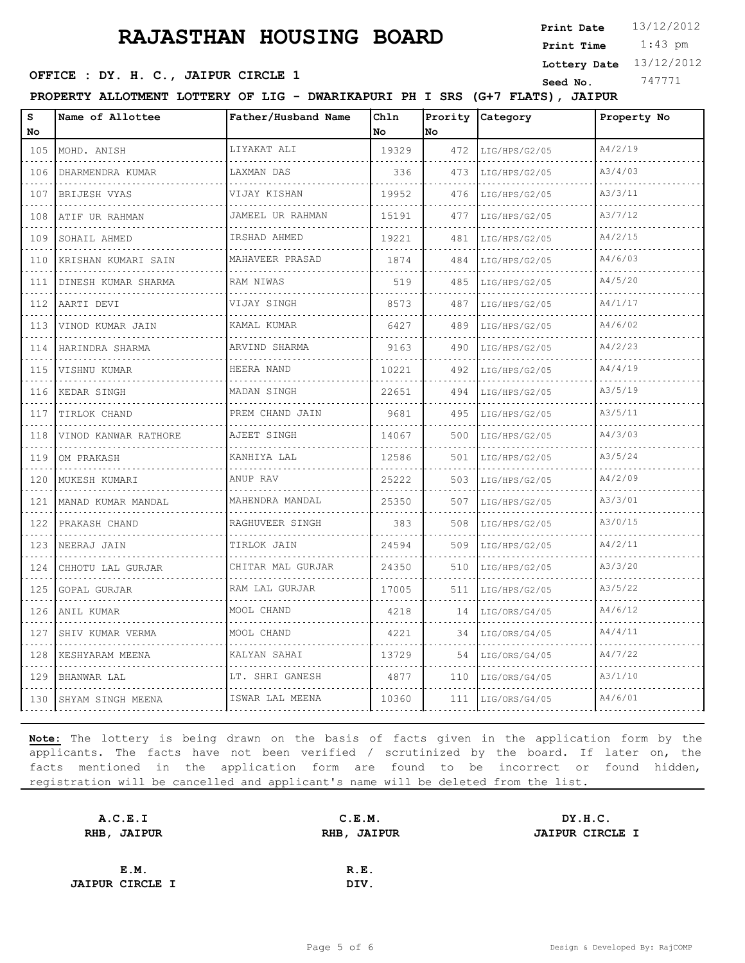1:43 pm **Print Date**  $13/12/2012$ **Print Time**

**Lottery Date** 13/12/2012

#### **SEED OFFICE : DY. H. C., JAIPUR CIRCLE 1 Seed No.** 747771

**PROPERTY ALLOTMENT LOTTERY OF LIG - DWARIKAPURI PH I SRS (G+7 FLATS), JAIPUR**

| S<br>No                            | Name of Allottee        | Father/Husband Name    | Chln<br>No | Prority<br>No | Category      | Property No |
|------------------------------------|-------------------------|------------------------|------------|---------------|---------------|-------------|
| 105                                | MOHD. ANISH             | LIYAKAT ALI            | 19329      | 472           | LIG/HPS/G2/05 | A4/2/19     |
| .<br>106                           | DHARMENDRA KUMAR        | LAXMAN DAS             | 336        | 473           | LIG/HPS/G2/05 | A3/4/03     |
| .<br>107                           | BRIJESH VYAS            | VIJAY KISHAN           | 19952      | 476           | LIG/HPS/G2/05 | A3/3/11     |
| 108                                | ATIF UR RAHMAN          | JAMEEL UR RAHMAN       | 15191      | 477           | LIG/HPS/G2/05 | A3/7/12     |
| .<br>109                           | SOHAIL AHMED            | .<br>IRSHAD AHMED      | 19221      | 481           | LIG/HPS/G2/05 | A4/2/15     |
| 110                                | KRISHAN KUMARI SAIN     | .<br>MAHAVEER PRASAD   | 1874       | 484           | LIG/HPS/G2/05 | A4/6/03     |
| 111                                | DINESH KUMAR SHARMA     | RAM NIWAS              | 519        | 485           | LIG/HPS/G2/05 | A4/5/20     |
| الدائد الدائد<br>112               | AARTI DEVI              | VIJAY SINGH            | 8573       | 487           | LIG/HPS/G2/05 | A4/1/17     |
| .<br>113                           | VINOD KUMAR JAIN        | KAMAL KUMAR            | 6427       | 489           | LIG/HPS/G2/05 | A4/6/02     |
| 114                                | HARINDRA SHARMA         | ARVIND SHARMA          | 9163       | 490           | LIG/HPS/G2/05 | A4/2/23     |
| .<br>115                           | VISHNU KUMAR            | HEERA NAND             | 10221      | 492           | LIG/HPS/G2/05 | A4/4/19     |
| 116                                | KEDAR SINGH             | MADAN SINGH            | 22651      | 494           | LIG/HPS/G2/05 | A3/5/19     |
| 117                                | TIRLOK CHAND            | PREM CHAND JAIN        | 9681       | 495           | LIG/HPS/G2/05 | A3/5/11     |
| .<br>118                           | VINOD KANWAR RATHORE    | .<br>AJEET SINGH       | 14067      | 500           | LIG/HPS/G2/05 | A4/3/03     |
| $\sim$ $\sim$ $\sim$ $\sim$<br>119 | OM PRAKASH              | KANHIYA LAL            | 12586      | 501           | LIG/HPS/G2/05 | A3/5/24     |
| 120                                | MUKESH KUMARI           | ANUP RAV               | 25222      | 503           | LIG/HPS/G2/05 | A4/2/09     |
| .<br>121                           | .<br>MANAD KUMAR MANDAL | MAHENDRA MANDAL        | 25350      | 507           | LIG/HPS/G2/05 | A3/3/01     |
| $-1 - 1 - 1$<br>122                | PRAKASH CHAND           | .<br>RAGHUVEER SINGH   | 383        | 508           | LIG/HPS/G2/05 | A3/0/15     |
| 123                                | NEERAJ JAIN             | TIRLOK JAIN            | 24594      | 509           | LIG/HPS/G2/05 | A4/2/11     |
| $\sim$ $\sim$ $\sim$ $\sim$<br>124 | CHHOTU LAL GURJAR       | .<br>CHITAR MAL GURJAR | 24350      | 510           | LIG/HPS/G2/05 | A3/3/20     |
| 125                                | GOPAL GURJAR            | .<br>RAM LAL GURJAR    | 17005      | 511           | LIG/HPS/G2/05 | A3/5/22     |
| 126                                | ANIL KUMAR              | MOOL CHAND             | 4218       | 14            | LIG/ORS/G4/05 | A4/6/12     |
| د د د د<br>127                     | SHIV KUMAR VERMA        | MOOL CHAND             | 4221       | 34            | LIG/ORS/G4/05 | A4/4/11     |
| 128                                | KESHYARAM MEENA         | KALYAN SAHAI           | 13729      | 54            | LIG/ORS/G4/05 | A4/7/22     |
| 129                                | BHANWAR LAL             | LT. SHRI GANESH        | 4877       | 110           | LIG/ORS/G4/05 | A3/1/10     |
| 130                                | SHYAM SINGH MEENA       | .<br>ISWAR LAL MEENA   | 10360      | 111           | LIG/ORS/G4/05 | A4/6/01     |

| A.C.E.I                | C.E.M.      | DY.H.C.                |
|------------------------|-------------|------------------------|
| RHB, JAIPUR            | RHB, JAIPUR | <b>JAIPUR CIRCLE I</b> |
|                        |             |                        |
| E.M.                   | R.E.        |                        |
| <b>JAIPUR CIRCLE I</b> | DIV.        |                        |